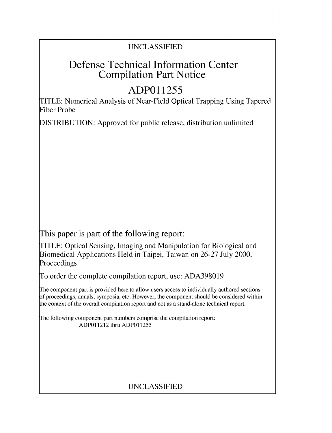## UNCLASSIFIED

## Defense Technical Information Center Compilation Part Notice

# **ADPO 11255**

TITLE: Numerical Analysis of Near-Field Optical Trapping Using Tapered Fiber Probe

DISTRIBUTION: Approved for public release, distribution unlimited

This paper is part of the following report:

TITLE: Optical Sensing, Imaging and Manipulation for Biological and Biomedical Applications Held in Taipei, Taiwan on 26-27 July 2000. Proceedings

To order the complete compilation report, use: ADA398019

The component part is provided here to allow users access to individually authored sections f proceedings, annals, symposia, etc. However, the component should be considered within [he context of the overall compilation report and not as a stand-alone technical report.

The following component part numbers comprise the compilation report: ADPO11212 thru ADP011255

## UNCLASSIFIED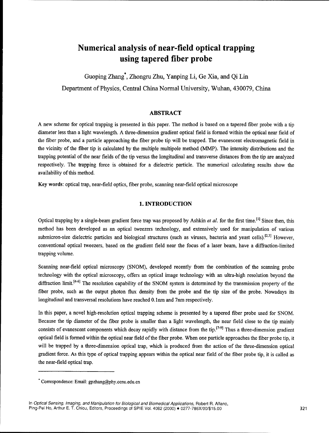## Numerical analysis of near-field optical trapping using tapered fiber probe

Guoping Zhang\*, Zhongru Zhu, Yanping Li, Ge Xia, and Qi Lin Department of Physics, Central China Normal University, Wuhan, 430079, China

#### ABSTRACT

**A** new scheme for optical trapping is presented in this paper. The method is based on a tapered fiber probe with a tip diameter less than a light wavelength. A three-dimension gradient optical field is formed within the optical near field of the fiber probe, and a particle approaching the fiber probe tip will be trapped. The evanescent electromagnetic field in the vicinity of the fiber tip is calculated by the multiple multipole method (MMP). The intensity distributions and the trapping potential of the near fields of the tip versus the longitudinal and transverse distances from the tip are analyzed respectively. The trapping force is obtained for a dielectric particle. The numerical calculating results show the availability of this method.

Key words: optical trap, near-field optics, fiber probe, scanning near-field optical microscope

#### 1. **INTRODUCTION**

Optical trapping by a single-beam gradient force trap was proposed by Ashkin *et al.* for the first time.<sup>[1]</sup> Since then, this method has been developed as an optical tweezers technology, and extensively used for manipulation of various submicron-size dielectric particles and biological structures (such as viruses, bacteria and yeast cells).<sup>[2,3]</sup> However, conventional optical tweezers, based on the gradient field near the focus of a laser beam, have a diffraction-limited trapping volume.

Scanning near-field optical microscopy (SNOM), developed recently from the combination of the scanning probe technology with the optical microscopy, offers an optical image technology with an ultra-high resolution beyond the diffraction limit.<sup>[4-6]</sup> The resolution capability of the SNOM system is determined by the transmission property of the fiber probe, such as the output photon flux density from the probe and the tip size of the probe. Nowadays its longitudinal and transversal resolutions have reached 0.1 nm and 7 nm respectively.

In this paper, a novel high-resolution optical trapping scheme is presented by a tapered fiber probe used for SNOM. Because the tip diameter of the fiber probe is smaller than a light wavelength, the near field close to the tip mainly consists of evanescent components which decay rapidly with distance from the tip.<sup>[7-9]</sup> Thus a three-dimension gradien optical field is formed within the optical near field of the fiber probe. When one particle approaches the fiber probe tip, it will be trapped by a three-dimension optical trap, which is produced from the action of the three-dimension optical gradient force. As this type of optical trapping appears within the optical near field of the fiber probe tip, it is called as the near-field optical trap.

<sup>&#</sup>x27; Correspondence: Email: gpzhang@phy.ccnu.edu.cn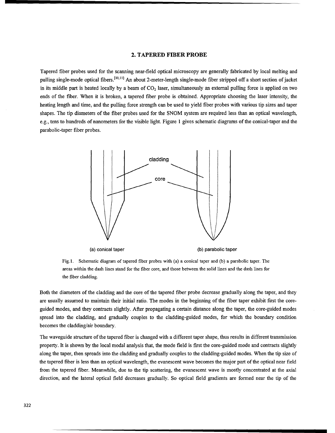#### 2. TAPERED FIBER PROBE

Tapered fiber probes used for the scanning near-field optical microscopy are generally fabricated by local melting and pulling single-mode optical fibers.<sup>[10,11]</sup> An about 2-meter-length single-mode fiber stripped off a short section of jacket in its middle part is heated locally by a beam of  $CO<sub>2</sub>$  laser, simultaneously an external pulling force is applied on two ends of the fiber. When it is broken, a tapered fiber probe is obtained. Appropriate choosing the laser intensity, the heating length and time, and the pulling force strength can be used to yield fiber probes with various tip sizes and taper shapes. The tip diameters of the fiber probes used for the SNOM system are required less than an optical wavelength, e.g., tens to hundreds of nanometers for the visible light. Figure 1 gives schematic diagrams of the conical-taper and the parabolic-taper fiber probes.



Fig. **1.** Schematic diagram of tapered fiber probes with (a) a conical taper and (b) a parabolic taper. The areas within the dash lines stand for the fiber core, and those between the solid lines and the dash lines for the fiber cladding.

Both the diameters of the cladding and the core of the tapered fiber probe decrease gradually along the taper, and they are usually assumed to maintain their initial ratio. The modes in the beginning of the fiber taper exhibit first the coreguided modes, and they contracts slightly. After propagating a certain distance along the taper, the core-guided modes spread into the cladding, and gradually couples to the cladding-guided modes, for which the boundary condition becomes the cladding/air boundary.

The waveguide structure of the tapered fiber is changed with a different taper shape, thus results in different transmission property. It is shown by the local modal analysis that, the mode field is first the core-guided mode and contracts slightly along the taper, then spreads into the cladding and gradually couples to the cladding-guided modes. When the tip size of the tapered fiber is less than an optical wavelength, the evanescent wave becomes the major part of the optical near field from the tapered fiber. Meanwhile, due to the tip scattering, the evanescent wave is mostly concentrated at the axial direction, and the lateral optical field decreases gradually. So optical field gradients are formed near the tip of the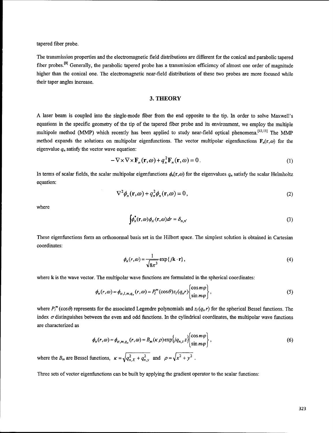tapered fiber probe.

The transmission properties and the electromagnetic field distributions are different for the conical and parabolic tapered fiber probes.<sup>[9]</sup> Generally, the parabolic tapered probe has a transmission efficiency of almost one order of magnitude higher than the conical one. The electromagnetic near-field distributions of these two probes are more focused while their taper angles increase.

#### **3.** THEORY

**A** laser beam is coupled into the single-mode fiber from the end opposite to the tip. In order to solve Maxwell's equations in the specific geometry of the tip of the tapered fiber probe and its environment, we employ the multiple multipole method (MMP) which recently has been applied to study near-field optical phenomena.<sup>[12,13]</sup> The MMP method expands the solutions on multipolar eigenfunctions. The vector multipolar eigenfunctions  $F_n(r,\omega)$  for the eigenvalue  $q_n$  satisfy the vector wave equation:

$$
-\nabla \times \nabla \times \mathbf{F}_n(\mathbf{r},\omega) + q_n^2 \mathbf{F}_n(\mathbf{r},\omega) = 0.
$$
 (1)

In terms of scalar fields, the scalar multipolar eigenfunctions  $\phi_n(r,\omega)$  for the eigenvalues  $q_n$  satisfy the scalar Helmholtz equation:

$$
\nabla^2 \phi_n(\mathbf{r}, \omega) + q_n^2 \phi_n(\mathbf{r}, \omega) = 0, \qquad (2)
$$

where

$$
\int \phi_n^*(\mathbf{r}, \omega) \phi_n(\mathbf{r}, \omega) dr = \delta_{n,n'} \tag{3}
$$

These eigenfunctions form an orthonormal basis set in the Hilbert space. The simplest solution is obtained in Cartesian coordinates:

$$
\phi_n(r,\omega) = \frac{1}{\sqrt{8\pi^3}} \exp\{j\mathbf{k}\cdot\mathbf{r}\},\tag{4}
$$

where k is the wave vector. The multipolar wave functions are formulated in the spherical coordinates:

$$
\phi_n(r,\omega) = \phi_{\sigma,l,m,q_n}(r,\omega) = P_l^m(\cos\theta)z_l(q_n r) \begin{cases} \cos m\varphi \\ \sin m\varphi \end{cases},
$$
\n(5)

where  $P_l^m(\cos\theta)$  represents for the associated Legendre polynomials and  $z_l(q_n r)$  for the spherical Bessel functions. The index  $\sigma$  distinguishes between the even and odd functions. In the cylindrical coordinates, the multipolar wave functions are characterized as

$$
\phi_n(r,\omega) = \phi_{\sigma,m,q_n}(r,\omega) = B_m(\kappa \rho) \exp\{jq_{n,z}z\} \begin{cases} \cos m\varphi \\ \sin m\varphi \end{cases},
$$
\n(6)

where the *B<sub>m</sub>* are Bessel functions,  $\kappa = \sqrt{q_{n,X}^2 + q_{n,y}^2}$  and  $\rho = \sqrt{x^2 + y^2}$ .

Three sets of vector eigenfunctions can be built by applying the gradient operator to the scalar functions: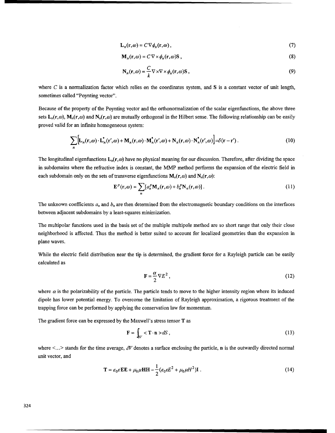$$
\mathbf{L}_n(\mathbf{r},\omega) = C \nabla \phi_n(\mathbf{r},\omega),\tag{7}
$$

$$
\mathbf{M}_n(\mathbf{r},\omega) = C \nabla \times \phi_n(\mathbf{r},\omega) \mathbf{S} \,, \tag{8}
$$

$$
\mathbf{N}_n(\mathbf{r}, \omega) = \frac{C}{k} \nabla \times \nabla \times \phi_n(\mathbf{r}, \omega) \mathbf{S},\tag{9}
$$

where  $C$  is a normalization factor which relies on the coordinates system, and  $S$  is a constant vector of unit length, sometimes called "Poynting vector".

Because of the property of the Poynting vector and the orthonormalization of the scalar eigenfunctions, the above three sets  $L_n(r,\omega)$ ,  $M_n(r,\omega)$  and  $N_n(r,\omega)$  are mutually orthogonal in the Hilbert sense. The following relationship can be easily proved valid for an infinite homogeneous system:

$$
\sum_{n} \left[ L_n(\mathbf{r}, \omega) \cdot L_n^*(\mathbf{r}', \omega) + \mathbf{M}_n(\mathbf{r}, \omega) \cdot \mathbf{M}_n^*(\mathbf{r}', \omega) + \mathbf{N}_n(\mathbf{r}, \omega) \cdot \mathbf{N}_n^*(\mathbf{r}', \omega) \right] = \delta(\mathbf{r} - \mathbf{r}'). \tag{10}
$$

The longitudinal eigenfunctions  $L_n(r, \omega)$  have no physical meaning for our discussion. Therefore, after dividing the space in subdomains where the refractive index is constant, the MMP method performs the expansion of the electric field in each subdomain only on the sets of transverse eigenfunctions  $M_n(r,\omega)$  and  $N_n(r,\omega)$ :

$$
\mathbf{E}^{p}(\mathbf{r},\omega) = \sum_{n} [a_n^p \mathbf{M}_n(\mathbf{r},\omega) + b_n^p \mathbf{N}_n(\mathbf{r},\omega)].
$$
 (11)

The unknown coefficients  $a_n$  and  $b_n$  are then determined from the electromagnetic boundary conditions on the interfaces between adjacent subdomains by a least-squares minimization.

The multipolar functions used in the basis set of the multiple multipole method are so short range that only their close neighborhood is affected. Thus the method is better suited to account for localized geometries than the expansion in plane waves.

While the electric field distribution near the tip is determined, the gradient force for a Rayleigh particle can be easily calculated as

$$
\mathbf{F} = \frac{\alpha}{2} \nabla E^2 \,, \tag{12}
$$

where  $\alpha$  is the polarizability of the particle. The particle tends to move to the higher intensity region where its induced dipole has lower potential energy. To overcome the limitation of Rayleigh approximation, a rigorous treatment of the trapping force can be performed by applying the conservation law for momentum.

The gradient force can be expressed by the Maxwell's stress tensor T as

$$
\mathbf{F} = \int_{\partial V} < \mathbf{T} \cdot \mathbf{n} > dS \,,\tag{13}
$$

where  $\lt$ ...> stands for the time average,  $\partial V$  denotes a surface enclosing the particle, **n** is the outwardly directed normal unit vector, and

$$
\mathbf{T} = \varepsilon_0 \varepsilon \mathbf{E} \mathbf{E} + \mu_0 \mu \mathbf{H} \mathbf{H} - \frac{1}{2} (\varepsilon_0 \varepsilon E^2 + \mu_0 \mu H^2) \mathbf{I} \tag{14}
$$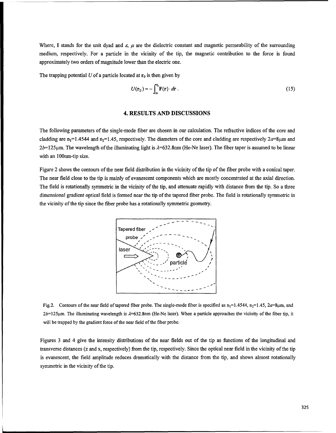Where, I stands for the unit dyad and  $\varepsilon$ ,  $\mu$  are the dielectric constant and magnetic permeability of the surrounding medium, respectively. For a particle in the vicinity of the tip, the magnetic contribution to the force is found approximately two orders of magnitude lower than the electric one.

The trapping potential U of a particle located at  $r_0$  is then given by

$$
U(\mathbf{r}_0) = -\int_{\infty}^{r_0} \mathbf{F}(\mathbf{r}) \cdot d\mathbf{r} \,. \tag{15}
$$

#### 4. RESULTS **AND DISCUSSIONS**

The following parameters of the single-mode fiber are chosen in our calculation. The refractive indices of the core and cladding are  $n_1=1.4544$  and  $n_2=1.45$ , respectively. The diameters of the core and cladding are respectively  $2a=8\mu m$  and  $2b=125\mu$ m. The wavelength of the illuminating light is  $\lambda=632.8$ nm (He-Ne laser). The fiber taper is assumed to be linear with an 100nm-tip size.

Figure 2 shows the contours of the near field distribution in the vicinity of the tip of the fiber probe with a conical taper. The near field close to the tip is mainly of evanescent components which are mostly concentrated at the axial direction. The field is rotationally symmetric in the vicinity of the tip, and attenuate rapidly with distance from the tip. So a three dimensional gradient optical field is formed near the tip of the tapered fiber probe. The field is rotationally symmetric in the vicinity of the tip since the fiber probe has a rotationally symmetric geometry.



Fig.2. Contours of the near field of tapered fiber probe. The single-mode fiber is specified as  $n_1=1.4544$ ,  $n_2=1.45$ ,  $2a=8\mu m$ , and  $2b=125\mu$ m. The illuminating wavelength is  $\lambda=632.8$ nm (He-Ne laser). When a particle approaches the vicinity of the fiber tip, it will be trapped by the gradient force of the near field of the fiber probe.

Figures 3 and 4 give the intensity distributions of the near fields out of the tip as functions of the longitudinal and transverse distances (z and x, respectively) from the tip, respectively. Since the optical near field in the vicinity of the tip is evanescent, the field amplitude reduces dramatically with the distance from the tip, and shows almost rotationally symmetric in the vicinity of the tip.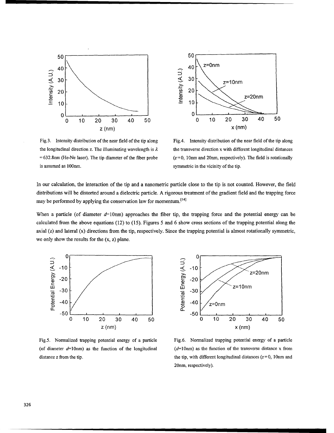

Fig.3. Intensity distribution of the near field of the tip along Fig.4. Intensity distribution of the near field of the tip along is assumed as 100nm. Symmetric in the vicinity of the tip.



the longitudinal direction z. The illuminating wavelength is  $\lambda$  the transverse direction x with different longitudinal distances =632.8nm (He-Ne laser). The tip diameter of the fiber probe *(z=0,* 1Onm and 20nm, respectively). The field is rotationally

In our calculation, the interaction of the tip and a nanometric particle close to the tip is not counted. However, the field distributions will be distorted around a dielectric particle. A rigorous treatment of the gradient field and the trapping force may be performed by applying the conservation law for momentum.<sup>[14]</sup>

When a particle (of diameter  $d=10$ nm) approaches the fiber tip, the trapping force and the potential energy can be calculated from the above equations (12) to (15). Figures 5 and 6 show cross sections of the trapping potential along the axial (z) and lateral (x) directions from the tip, respectively. Since the trapping potential is almost rotationally symmetric, we only show the results for the  $(x, z)$  plane.





Fig.5. Normalized trapping potential energy of a particle Fig.6. Normalized trapping potential energy of a particle (of diameter  $d=10$ nm) as the function of the longitudinal ( $d=10$ nm) as the function of the transverse distance x from distance z from the tip. the tip stances ( $z = 0$ , 10nm and the tip, with different longitudinal distances ( $z = 0$ , 10nm and 20nm, respectively).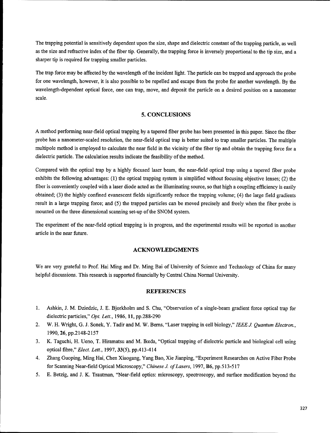The trapping potential is sensitively dependent upon the size, shape and dielectric constant of the trapping particle, as well as the size and refractive index of the fiber tip. Generally, the trapping force is inversely proportional to the tip size, and a sharper tip is required for trapping smaller particles.

The trap force may be affected by the wavelength of the incident light. The particle can be trapped and approach the probe for one wavelength, however, it is also possible to be repelled and escape from the probe for another wavelength. By the wavelength-dependent optical force, one can trap, move, and deposit the particle on a desired position on a nanometer scale.

#### **5. CONCLUSIONS**

**A** method performing near-field optical trapping by a tapered fiber probe has been presented in this paper. Since the fiber probe has a nanometer-scaled resolution, the near-field optical trap is better suited to trap smaller particles. The multiple multipole method is employed to calculate the near field in the vicinity of the fiber tip and obtain the trapping force for a dielectric particle. The calculation results indicate the feasibility of the method.

Compared with the optical trap by a highly focused laser beam, the near-field optical trap using a tapered fiber probe exhibits the following advantages: (1) the optical trapping system is simplified without focusing objective lenses; (2) the fiber is conveniently coupled with a laser diode acted as the illuminating source, so that high a coupling efficiency is easily obtained; (3) the highly confined evanescent fields significantly reduce the trapping volume; (4) the large field gradients result in a large trapping force; and (5) the trapped particles can be moved precisely and freely when the fiber probe is mounted on the three dimensional scanning set-up of the SNOM system.

The experiment of the near-field optical trapping is in progress, and the experimental results will be reported in another article in the near future.

#### **ACKNOWLEDGMENTS**

We are very grateful to Prof. Hai Ming and Dr. Ming Bai of University of Science and Technology of China for many helpful discussions. This research is supported financially by Central China Normal University.

#### **REFERENCES**

- 1. Ashkin, J. M. Dziedzic, J. E. Bjorkholm and S. Chu, "Observation of a single-beam gradient force optical trap for dielectric particles," Opt. Lett., 1986, 11, pp.288-290
- 2. W. H. Wright, G. J. Sonek, Y. Tadir and M. W. Berns, "Laser trapping in cell biology," *IEEE J Quantum Electron.,* 1990, 26, pp.2148-2157
- 3. K. Taguchi, H. Ueno, T. Hiramatsu and M. Ikeda, "Optical trapping of dielectric particle and biological cell using optical fibre," *Elect. Lett.,* 1997, 33(5), pp.413-414
- 4. Zhang Guoping, Ming Hai, Chen Xiaogang, Yang Bao, Xie Jianping, "Experiment Researches on Active Fiber Probe for Scanning Near-field Optical Microscopy," *Chinese J. of Lasers*, 1997, B6, pp.513-517
- 5. E. Betzig, and J. K. Trautman, "Near-field optics: microscopy, spectroscopy, and surface modification beyond the